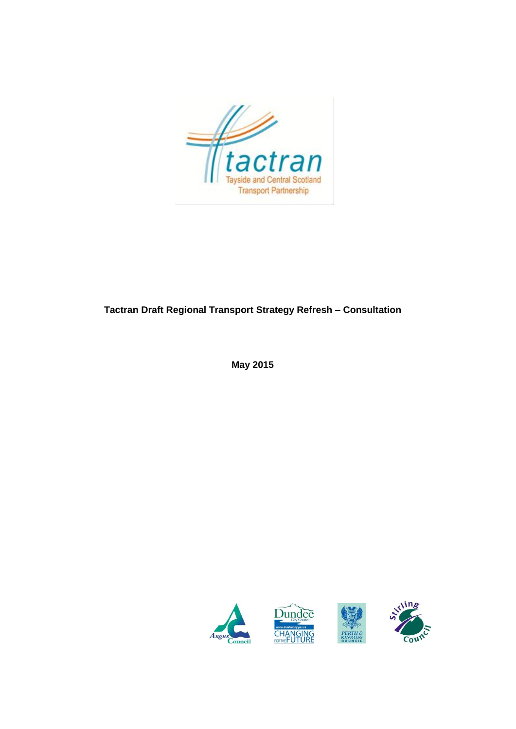

## **Tactran Draft Regional Transport Strategy Refresh – Consultation**

**May 2015**



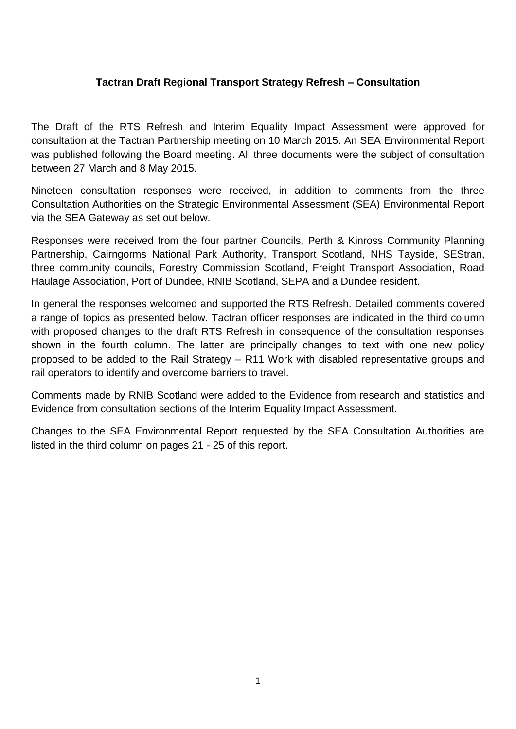## **Tactran Draft Regional Transport Strategy Refresh – Consultation**

The Draft of the RTS Refresh and Interim Equality Impact Assessment were approved for consultation at the Tactran Partnership meeting on 10 March 2015. An SEA Environmental Report was published following the Board meeting. All three documents were the subject of consultation between 27 March and 8 May 2015.

Nineteen consultation responses were received, in addition to comments from the three Consultation Authorities on the Strategic Environmental Assessment (SEA) Environmental Report via the SEA Gateway as set out below.

Responses were received from the four partner Councils, Perth & Kinross Community Planning Partnership, Cairngorms National Park Authority, Transport Scotland, NHS Tayside, SEStran, three community councils, Forestry Commission Scotland, Freight Transport Association, Road Haulage Association, Port of Dundee, RNIB Scotland, SEPA and a Dundee resident.

In general the responses welcomed and supported the RTS Refresh. Detailed comments covered a range of topics as presented below. Tactran officer responses are indicated in the third column with proposed changes to the draft RTS Refresh in consequence of the consultation responses shown in the fourth column. The latter are principally changes to text with one new policy proposed to be added to the Rail Strategy – R11 Work with disabled representative groups and rail operators to identify and overcome barriers to travel.

Comments made by RNIB Scotland were added to the Evidence from research and statistics and Evidence from consultation sections of the Interim Equality Impact Assessment.

Changes to the SEA Environmental Report requested by the SEA Consultation Authorities are listed in the third column on pages 21 - 25 of this report.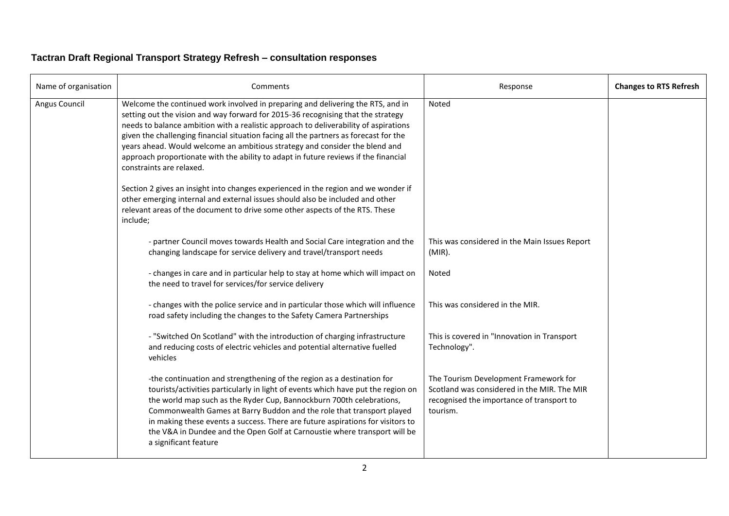## **Tactran Draft Regional Transport Strategy Refresh – consultation responses**

| Name of organisation | Comments                                                                                                                                                                                                                                                                                                                                                                                                                                                                                                                                               | Response                                                                                                                                      | <b>Changes to RTS Refresh</b> |
|----------------------|--------------------------------------------------------------------------------------------------------------------------------------------------------------------------------------------------------------------------------------------------------------------------------------------------------------------------------------------------------------------------------------------------------------------------------------------------------------------------------------------------------------------------------------------------------|-----------------------------------------------------------------------------------------------------------------------------------------------|-------------------------------|
| Angus Council        | Welcome the continued work involved in preparing and delivering the RTS, and in<br>setting out the vision and way forward for 2015-36 recognising that the strategy<br>needs to balance ambition with a realistic approach to deliverability of aspirations<br>given the challenging financial situation facing all the partners as forecast for the<br>years ahead. Would welcome an ambitious strategy and consider the blend and<br>approach proportionate with the ability to adapt in future reviews if the financial<br>constraints are relaxed. | <b>Noted</b>                                                                                                                                  |                               |
|                      | Section 2 gives an insight into changes experienced in the region and we wonder if<br>other emerging internal and external issues should also be included and other<br>relevant areas of the document to drive some other aspects of the RTS. These<br>include;                                                                                                                                                                                                                                                                                        |                                                                                                                                               |                               |
|                      | - partner Council moves towards Health and Social Care integration and the<br>changing landscape for service delivery and travel/transport needs                                                                                                                                                                                                                                                                                                                                                                                                       | This was considered in the Main Issues Report<br>$(MIR)$ .                                                                                    |                               |
|                      | - changes in care and in particular help to stay at home which will impact on<br>the need to travel for services/for service delivery                                                                                                                                                                                                                                                                                                                                                                                                                  | Noted                                                                                                                                         |                               |
|                      | - changes with the police service and in particular those which will influence<br>road safety including the changes to the Safety Camera Partnerships                                                                                                                                                                                                                                                                                                                                                                                                  | This was considered in the MIR.                                                                                                               |                               |
|                      | - "Switched On Scotland" with the introduction of charging infrastructure<br>and reducing costs of electric vehicles and potential alternative fuelled<br>vehicles                                                                                                                                                                                                                                                                                                                                                                                     | This is covered in "Innovation in Transport<br>Technology".                                                                                   |                               |
|                      | -the continuation and strengthening of the region as a destination for<br>tourists/activities particularly in light of events which have put the region on<br>the world map such as the Ryder Cup, Bannockburn 700th celebrations,<br>Commonwealth Games at Barry Buddon and the role that transport played<br>in making these events a success. There are future aspirations for visitors to<br>the V&A in Dundee and the Open Golf at Carnoustie where transport will be<br>a significant feature                                                    | The Tourism Development Framework for<br>Scotland was considered in the MIR. The MIR<br>recognised the importance of transport to<br>tourism. |                               |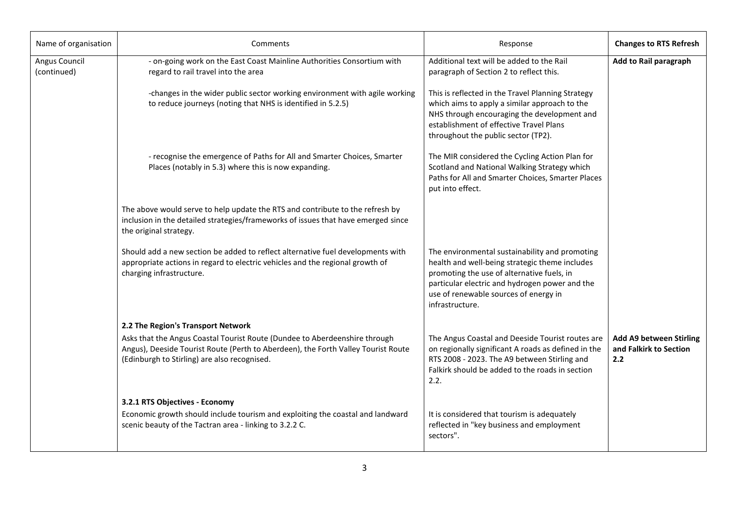| Name of organisation         | Comments                                                                                                                                                                                                        | Response                                                                                                                                                                                                                                                     | <b>Changes to RTS Refresh</b>                                   |
|------------------------------|-----------------------------------------------------------------------------------------------------------------------------------------------------------------------------------------------------------------|--------------------------------------------------------------------------------------------------------------------------------------------------------------------------------------------------------------------------------------------------------------|-----------------------------------------------------------------|
| Angus Council<br>(continued) | - on-going work on the East Coast Mainline Authorities Consortium with<br>regard to rail travel into the area                                                                                                   | Additional text will be added to the Rail<br>paragraph of Section 2 to reflect this.                                                                                                                                                                         | Add to Rail paragraph                                           |
|                              | -changes in the wider public sector working environment with agile working<br>to reduce journeys (noting that NHS is identified in 5.2.5)                                                                       | This is reflected in the Travel Planning Strategy<br>which aims to apply a similar approach to the<br>NHS through encouraging the development and<br>establishment of effective Travel Plans<br>throughout the public sector (TP2).                          |                                                                 |
|                              | - recognise the emergence of Paths for All and Smarter Choices, Smarter<br>Places (notably in 5.3) where this is now expanding.                                                                                 | The MIR considered the Cycling Action Plan for<br>Scotland and National Walking Strategy which<br>Paths for All and Smarter Choices, Smarter Places<br>put into effect.                                                                                      |                                                                 |
|                              | The above would serve to help update the RTS and contribute to the refresh by<br>inclusion in the detailed strategies/frameworks of issues that have emerged since<br>the original strategy.                    |                                                                                                                                                                                                                                                              |                                                                 |
|                              | Should add a new section be added to reflect alternative fuel developments with<br>appropriate actions in regard to electric vehicles and the regional growth of<br>charging infrastructure.                    | The environmental sustainability and promoting<br>health and well-being strategic theme includes<br>promoting the use of alternative fuels, in<br>particular electric and hydrogen power and the<br>use of renewable sources of energy in<br>infrastructure. |                                                                 |
|                              | 2.2 The Region's Transport Network                                                                                                                                                                              |                                                                                                                                                                                                                                                              |                                                                 |
|                              | Asks that the Angus Coastal Tourist Route (Dundee to Aberdeenshire through<br>Angus), Deeside Tourist Route (Perth to Aberdeen), the Forth Valley Tourist Route<br>(Edinburgh to Stirling) are also recognised. | The Angus Coastal and Deeside Tourist routes are<br>on regionally significant A roads as defined in the<br>RTS 2008 - 2023. The A9 between Stirling and<br>Falkirk should be added to the roads in section<br>2.2.                                           | <b>Add A9 between Stirling</b><br>and Falkirk to Section<br>2.2 |
|                              | 3.2.1 RTS Objectives - Economy<br>Economic growth should include tourism and exploiting the coastal and landward<br>scenic beauty of the Tactran area - linking to 3.2.2 C.                                     | It is considered that tourism is adequately<br>reflected in "key business and employment<br>sectors".                                                                                                                                                        |                                                                 |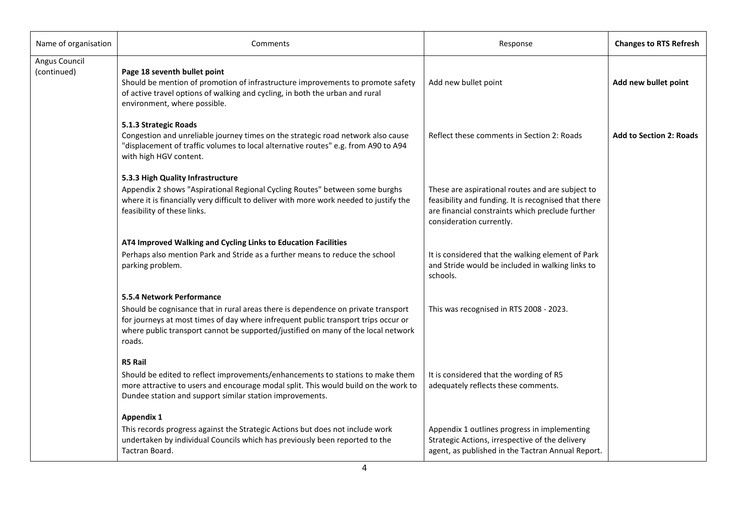| Name of organisation         | Comments                                                                                                                                                                                                                                                                                            | Response                                                                                                                                                                                 | <b>Changes to RTS Refresh</b>  |
|------------------------------|-----------------------------------------------------------------------------------------------------------------------------------------------------------------------------------------------------------------------------------------------------------------------------------------------------|------------------------------------------------------------------------------------------------------------------------------------------------------------------------------------------|--------------------------------|
| Angus Council<br>(continued) | Page 18 seventh bullet point<br>Should be mention of promotion of infrastructure improvements to promote safety<br>of active travel options of walking and cycling, in both the urban and rural<br>environment, where possible.                                                                     | Add new bullet point                                                                                                                                                                     | Add new bullet point           |
|                              | 5.1.3 Strategic Roads<br>Congestion and unreliable journey times on the strategic road network also cause<br>"displacement of traffic volumes to local alternative routes" e.g. from A90 to A94<br>with high HGV content.                                                                           | Reflect these comments in Section 2: Roads                                                                                                                                               | <b>Add to Section 2: Roads</b> |
|                              | 5.3.3 High Quality Infrastructure<br>Appendix 2 shows "Aspirational Regional Cycling Routes" between some burghs<br>where it is financially very difficult to deliver with more work needed to justify the<br>feasibility of these links.                                                           | These are aspirational routes and are subject to<br>feasibility and funding. It is recognised that there<br>are financial constraints which preclude further<br>consideration currently. |                                |
|                              | AT4 Improved Walking and Cycling Links to Education Facilities<br>Perhaps also mention Park and Stride as a further means to reduce the school<br>parking problem.                                                                                                                                  | It is considered that the walking element of Park<br>and Stride would be included in walking links to<br>schools.                                                                        |                                |
|                              | 5.5.4 Network Performance<br>Should be cognisance that in rural areas there is dependence on private transport<br>for journeys at most times of day where infrequent public transport trips occur or<br>where public transport cannot be supported/justified on many of the local network<br>roads. | This was recognised in RTS 2008 - 2023.                                                                                                                                                  |                                |
|                              | <b>R5 Rail</b><br>Should be edited to reflect improvements/enhancements to stations to make them<br>more attractive to users and encourage modal split. This would build on the work to<br>Dundee station and support similar station improvements.                                                 | It is considered that the wording of R5<br>adequately reflects these comments.                                                                                                           |                                |
|                              | <b>Appendix 1</b><br>This records progress against the Strategic Actions but does not include work<br>undertaken by individual Councils which has previously been reported to the<br>Tactran Board.                                                                                                 | Appendix 1 outlines progress in implementing<br>Strategic Actions, irrespective of the delivery<br>agent, as published in the Tactran Annual Report.                                     |                                |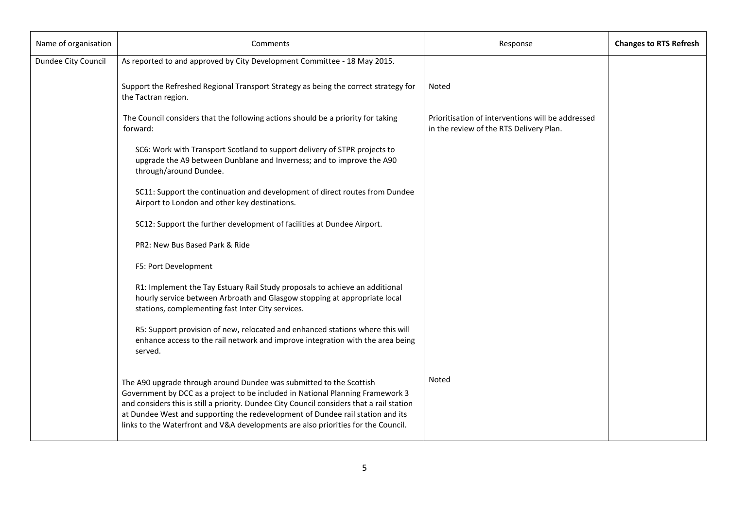| Name of organisation | Comments                                                                                                                                                                                                                                                                                                                                                                                                                  | Response                                                                                     | <b>Changes to RTS Refresh</b> |
|----------------------|---------------------------------------------------------------------------------------------------------------------------------------------------------------------------------------------------------------------------------------------------------------------------------------------------------------------------------------------------------------------------------------------------------------------------|----------------------------------------------------------------------------------------------|-------------------------------|
| Dundee City Council  | As reported to and approved by City Development Committee - 18 May 2015.                                                                                                                                                                                                                                                                                                                                                  |                                                                                              |                               |
|                      | Support the Refreshed Regional Transport Strategy as being the correct strategy for<br>the Tactran region.                                                                                                                                                                                                                                                                                                                | Noted                                                                                        |                               |
|                      | The Council considers that the following actions should be a priority for taking<br>forward:                                                                                                                                                                                                                                                                                                                              | Prioritisation of interventions will be addressed<br>in the review of the RTS Delivery Plan. |                               |
|                      | SC6: Work with Transport Scotland to support delivery of STPR projects to<br>upgrade the A9 between Dunblane and Inverness; and to improve the A90<br>through/around Dundee.                                                                                                                                                                                                                                              |                                                                                              |                               |
|                      | SC11: Support the continuation and development of direct routes from Dundee<br>Airport to London and other key destinations.                                                                                                                                                                                                                                                                                              |                                                                                              |                               |
|                      | SC12: Support the further development of facilities at Dundee Airport.                                                                                                                                                                                                                                                                                                                                                    |                                                                                              |                               |
|                      | PR2: New Bus Based Park & Ride                                                                                                                                                                                                                                                                                                                                                                                            |                                                                                              |                               |
|                      | F5: Port Development                                                                                                                                                                                                                                                                                                                                                                                                      |                                                                                              |                               |
|                      | R1: Implement the Tay Estuary Rail Study proposals to achieve an additional<br>hourly service between Arbroath and Glasgow stopping at appropriate local<br>stations, complementing fast Inter City services.                                                                                                                                                                                                             |                                                                                              |                               |
|                      | R5: Support provision of new, relocated and enhanced stations where this will<br>enhance access to the rail network and improve integration with the area being<br>served.                                                                                                                                                                                                                                                |                                                                                              |                               |
|                      | The A90 upgrade through around Dundee was submitted to the Scottish<br>Government by DCC as a project to be included in National Planning Framework 3<br>and considers this is still a priority. Dundee City Council considers that a rail station<br>at Dundee West and supporting the redevelopment of Dundee rail station and its<br>links to the Waterfront and V&A developments are also priorities for the Council. | Noted                                                                                        |                               |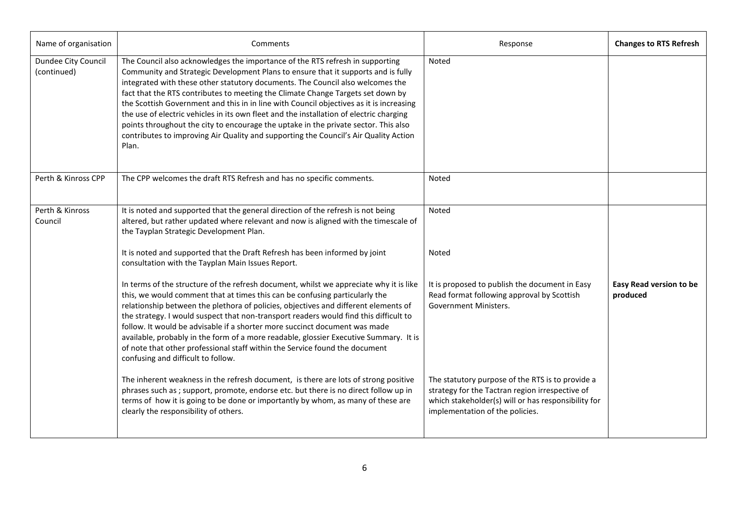| Name of organisation               | Comments                                                                                                                                                                                                                                                                                                                                                                                                                                                                                                                                                                                                                                                                                                              | Response                                                                                                                                                                                      | <b>Changes to RTS Refresh</b>       |
|------------------------------------|-----------------------------------------------------------------------------------------------------------------------------------------------------------------------------------------------------------------------------------------------------------------------------------------------------------------------------------------------------------------------------------------------------------------------------------------------------------------------------------------------------------------------------------------------------------------------------------------------------------------------------------------------------------------------------------------------------------------------|-----------------------------------------------------------------------------------------------------------------------------------------------------------------------------------------------|-------------------------------------|
| Dundee City Council<br>(continued) | The Council also acknowledges the importance of the RTS refresh in supporting<br>Community and Strategic Development Plans to ensure that it supports and is fully<br>integrated with these other statutory documents. The Council also welcomes the<br>fact that the RTS contributes to meeting the Climate Change Targets set down by<br>the Scottish Government and this in in line with Council objectives as it is increasing<br>the use of electric vehicles in its own fleet and the installation of electric charging<br>points throughout the city to encourage the uptake in the private sector. This also<br>contributes to improving Air Quality and supporting the Council's Air Quality Action<br>Plan. | Noted                                                                                                                                                                                         |                                     |
| Perth & Kinross CPP                | The CPP welcomes the draft RTS Refresh and has no specific comments.                                                                                                                                                                                                                                                                                                                                                                                                                                                                                                                                                                                                                                                  | Noted                                                                                                                                                                                         |                                     |
| Perth & Kinross<br>Council         | It is noted and supported that the general direction of the refresh is not being<br>altered, but rather updated where relevant and now is aligned with the timescale of<br>the Tayplan Strategic Development Plan.                                                                                                                                                                                                                                                                                                                                                                                                                                                                                                    | Noted                                                                                                                                                                                         |                                     |
|                                    | It is noted and supported that the Draft Refresh has been informed by joint<br>consultation with the Tayplan Main Issues Report.                                                                                                                                                                                                                                                                                                                                                                                                                                                                                                                                                                                      | Noted                                                                                                                                                                                         |                                     |
|                                    | In terms of the structure of the refresh document, whilst we appreciate why it is like<br>this, we would comment that at times this can be confusing particularly the<br>relationship between the plethora of policies, objectives and different elements of<br>the strategy. I would suspect that non-transport readers would find this difficult to<br>follow. It would be advisable if a shorter more succinct document was made<br>available, probably in the form of a more readable, glossier Executive Summary. It is<br>of note that other professional staff within the Service found the document<br>confusing and difficult to follow.                                                                     | It is proposed to publish the document in Easy<br>Read format following approval by Scottish<br>Government Ministers.                                                                         | Easy Read version to be<br>produced |
|                                    | The inherent weakness in the refresh document, is there are lots of strong positive<br>phrases such as ; support, promote, endorse etc. but there is no direct follow up in<br>terms of how it is going to be done or importantly by whom, as many of these are<br>clearly the responsibility of others.                                                                                                                                                                                                                                                                                                                                                                                                              | The statutory purpose of the RTS is to provide a<br>strategy for the Tactran region irrespective of<br>which stakeholder(s) will or has responsibility for<br>implementation of the policies. |                                     |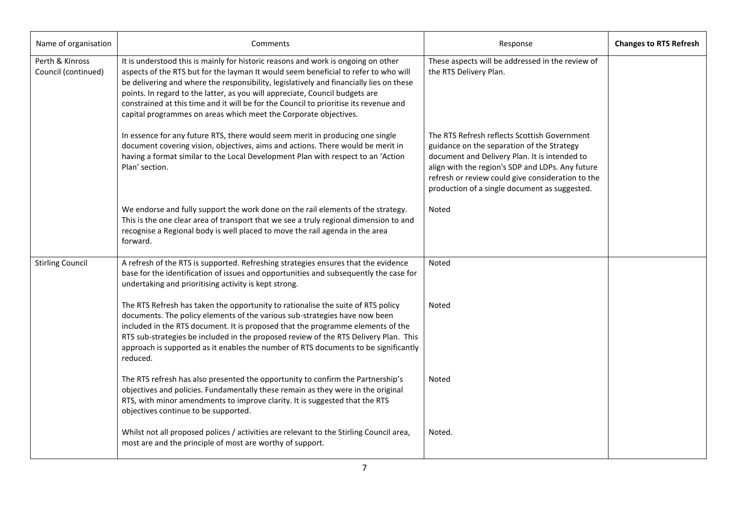| Name of organisation                   | Comments                                                                                                                                                                                                                                                                                                                                                                                                                                                                                                         | Response                                                                                                                                                                                                                                                                                              | <b>Changes to RTS Refresh</b> |
|----------------------------------------|------------------------------------------------------------------------------------------------------------------------------------------------------------------------------------------------------------------------------------------------------------------------------------------------------------------------------------------------------------------------------------------------------------------------------------------------------------------------------------------------------------------|-------------------------------------------------------------------------------------------------------------------------------------------------------------------------------------------------------------------------------------------------------------------------------------------------------|-------------------------------|
| Perth & Kinross<br>Council (continued) | It is understood this is mainly for historic reasons and work is ongoing on other<br>aspects of the RTS but for the layman It would seem beneficial to refer to who will<br>be delivering and where the responsibility, legislatively and financially lies on these<br>points. In regard to the latter, as you will appreciate, Council budgets are<br>constrained at this time and it will be for the Council to prioritise its revenue and<br>capital programmes on areas which meet the Corporate objectives. | These aspects will be addressed in the review of<br>the RTS Delivery Plan.                                                                                                                                                                                                                            |                               |
|                                        | In essence for any future RTS, there would seem merit in producing one single<br>document covering vision, objectives, aims and actions. There would be merit in<br>having a format similar to the Local Development Plan with respect to an 'Action<br>Plan' section.                                                                                                                                                                                                                                           | The RTS Refresh reflects Scottish Government<br>guidance on the separation of the Strategy<br>document and Delivery Plan. It is intended to<br>align with the region's SDP and LDPs. Any future<br>refresh or review could give consideration to the<br>production of a single document as suggested. |                               |
|                                        | We endorse and fully support the work done on the rail elements of the strategy.<br>This is the one clear area of transport that we see a truly regional dimension to and<br>recognise a Regional body is well placed to move the rail agenda in the area<br>forward.                                                                                                                                                                                                                                            | <b>Noted</b>                                                                                                                                                                                                                                                                                          |                               |
| <b>Stirling Council</b>                | A refresh of the RTS is supported. Refreshing strategies ensures that the evidence<br>base for the identification of issues and opportunities and subsequently the case for<br>undertaking and prioritising activity is kept strong.                                                                                                                                                                                                                                                                             | Noted                                                                                                                                                                                                                                                                                                 |                               |
|                                        | The RTS Refresh has taken the opportunity to rationalise the suite of RTS policy<br>documents. The policy elements of the various sub-strategies have now been<br>included in the RTS document. It is proposed that the programme elements of the<br>RTS sub-strategies be included in the proposed review of the RTS Delivery Plan. This<br>approach is supported as it enables the number of RTS documents to be significantly<br>reduced.                                                                     | Noted                                                                                                                                                                                                                                                                                                 |                               |
|                                        | The RTS refresh has also presented the opportunity to confirm the Partnership's<br>objectives and policies. Fundamentally these remain as they were in the original<br>RTS, with minor amendments to improve clarity. It is suggested that the RTS<br>objectives continue to be supported.                                                                                                                                                                                                                       | Noted                                                                                                                                                                                                                                                                                                 |                               |
|                                        | Whilst not all proposed polices / activities are relevant to the Stirling Council area,<br>most are and the principle of most are worthy of support.                                                                                                                                                                                                                                                                                                                                                             | Noted.                                                                                                                                                                                                                                                                                                |                               |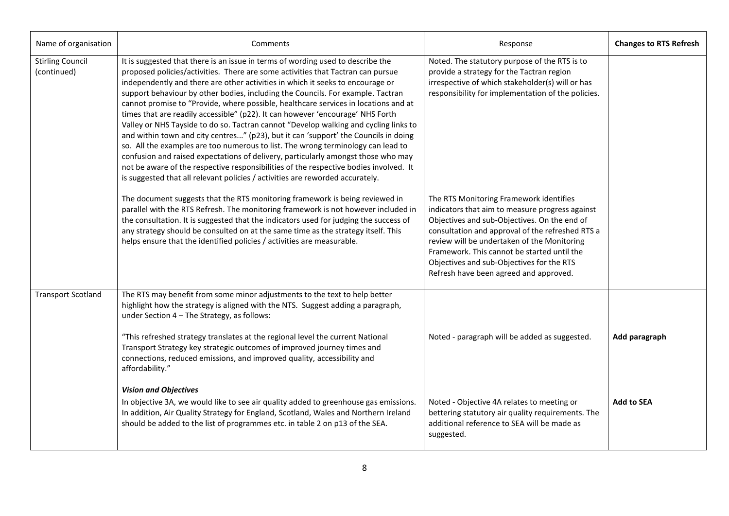| Name of organisation                   | Comments                                                                                                                                                                                                                                                                                                                                                                                                                                                                                                                                                                                                                                                                                                                                                                                                                                                                                                                                                                                                                                           | Response                                                                                                                                                                                                                                                                                                                                                                            | <b>Changes to RTS Refresh</b> |
|----------------------------------------|----------------------------------------------------------------------------------------------------------------------------------------------------------------------------------------------------------------------------------------------------------------------------------------------------------------------------------------------------------------------------------------------------------------------------------------------------------------------------------------------------------------------------------------------------------------------------------------------------------------------------------------------------------------------------------------------------------------------------------------------------------------------------------------------------------------------------------------------------------------------------------------------------------------------------------------------------------------------------------------------------------------------------------------------------|-------------------------------------------------------------------------------------------------------------------------------------------------------------------------------------------------------------------------------------------------------------------------------------------------------------------------------------------------------------------------------------|-------------------------------|
| <b>Stirling Council</b><br>(continued) | It is suggested that there is an issue in terms of wording used to describe the<br>proposed policies/activities. There are some activities that Tactran can pursue<br>independently and there are other activities in which it seeks to encourage or<br>support behaviour by other bodies, including the Councils. For example. Tactran<br>cannot promise to "Provide, where possible, healthcare services in locations and at<br>times that are readily accessible" (p22). It can however 'encourage' NHS Forth<br>Valley or NHS Tayside to do so. Tactran cannot "Develop walking and cycling links to<br>and within town and city centres" (p23), but it can 'support' the Councils in doing<br>so. All the examples are too numerous to list. The wrong terminology can lead to<br>confusion and raised expectations of delivery, particularly amongst those who may<br>not be aware of the respective responsibilities of the respective bodies involved. It<br>is suggested that all relevant policies / activities are reworded accurately. | Noted. The statutory purpose of the RTS is to<br>provide a strategy for the Tactran region<br>irrespective of which stakeholder(s) will or has<br>responsibility for implementation of the policies.                                                                                                                                                                                |                               |
|                                        | The document suggests that the RTS monitoring framework is being reviewed in<br>parallel with the RTS Refresh. The monitoring framework is not however included in<br>the consultation. It is suggested that the indicators used for judging the success of<br>any strategy should be consulted on at the same time as the strategy itself. This<br>helps ensure that the identified policies / activities are measurable.                                                                                                                                                                                                                                                                                                                                                                                                                                                                                                                                                                                                                         | The RTS Monitoring Framework identifies<br>indicators that aim to measure progress against<br>Objectives and sub-Objectives. On the end of<br>consultation and approval of the refreshed RTS a<br>review will be undertaken of the Monitoring<br>Framework. This cannot be started until the<br>Objectives and sub-Objectives for the RTS<br>Refresh have been agreed and approved. |                               |
| <b>Transport Scotland</b>              | The RTS may benefit from some minor adjustments to the text to help better<br>highlight how the strategy is aligned with the NTS. Suggest adding a paragraph,<br>under Section 4 - The Strategy, as follows:<br>"This refreshed strategy translates at the regional level the current National<br>Transport Strategy key strategic outcomes of improved journey times and<br>connections, reduced emissions, and improved quality, accessibility and<br>affordability."                                                                                                                                                                                                                                                                                                                                                                                                                                                                                                                                                                            | Noted - paragraph will be added as suggested.                                                                                                                                                                                                                                                                                                                                       | Add paragraph                 |
|                                        | <b>Vision and Objectives</b><br>In objective 3A, we would like to see air quality added to greenhouse gas emissions.<br>In addition, Air Quality Strategy for England, Scotland, Wales and Northern Ireland<br>should be added to the list of programmes etc. in table 2 on p13 of the SEA.                                                                                                                                                                                                                                                                                                                                                                                                                                                                                                                                                                                                                                                                                                                                                        | Noted - Objective 4A relates to meeting or<br>bettering statutory air quality requirements. The<br>additional reference to SEA will be made as<br>suggested.                                                                                                                                                                                                                        | <b>Add to SEA</b>             |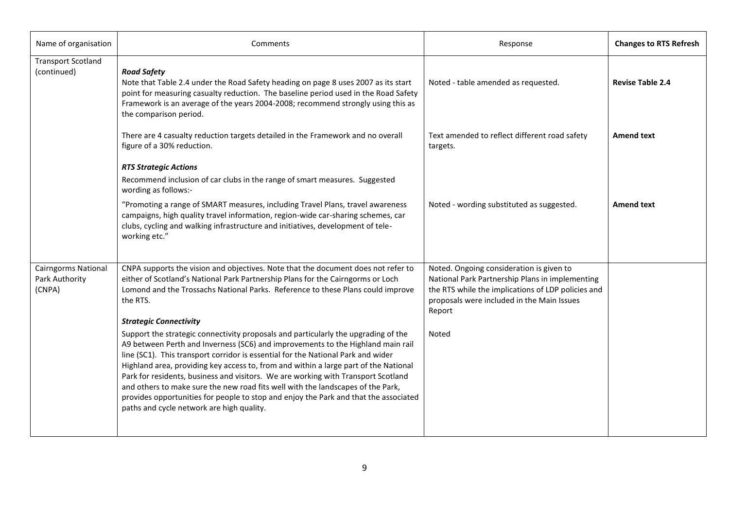| Name of organisation                                   | Comments                                                                                                                                                                                                                                                                                                                                                                                                                                                                                                                                                                                                                                                       | Response                                                                                                                                                                                                  | <b>Changes to RTS Refresh</b> |
|--------------------------------------------------------|----------------------------------------------------------------------------------------------------------------------------------------------------------------------------------------------------------------------------------------------------------------------------------------------------------------------------------------------------------------------------------------------------------------------------------------------------------------------------------------------------------------------------------------------------------------------------------------------------------------------------------------------------------------|-----------------------------------------------------------------------------------------------------------------------------------------------------------------------------------------------------------|-------------------------------|
| <b>Transport Scotland</b><br>(continued)               | <b>Road Safety</b><br>Note that Table 2.4 under the Road Safety heading on page 8 uses 2007 as its start<br>point for measuring casualty reduction. The baseline period used in the Road Safety<br>Framework is an average of the years 2004-2008; recommend strongly using this as<br>the comparison period.                                                                                                                                                                                                                                                                                                                                                  | Noted - table amended as requested.                                                                                                                                                                       | <b>Revise Table 2.4</b>       |
|                                                        | There are 4 casualty reduction targets detailed in the Framework and no overall<br>figure of a 30% reduction.                                                                                                                                                                                                                                                                                                                                                                                                                                                                                                                                                  | Text amended to reflect different road safety<br>targets.                                                                                                                                                 | <b>Amend text</b>             |
|                                                        | <b>RTS Strategic Actions</b><br>Recommend inclusion of car clubs in the range of smart measures. Suggested<br>wording as follows:-                                                                                                                                                                                                                                                                                                                                                                                                                                                                                                                             |                                                                                                                                                                                                           |                               |
|                                                        | "Promoting a range of SMART measures, including Travel Plans, travel awareness<br>campaigns, high quality travel information, region-wide car-sharing schemes, car<br>clubs, cycling and walking infrastructure and initiatives, development of tele-<br>working etc."                                                                                                                                                                                                                                                                                                                                                                                         | Noted - wording substituted as suggested.                                                                                                                                                                 | <b>Amend text</b>             |
| <b>Cairngorms National</b><br>Park Authority<br>(CNPA) | CNPA supports the vision and objectives. Note that the document does not refer to<br>either of Scotland's National Park Partnership Plans for the Cairngorms or Loch<br>Lomond and the Trossachs National Parks. Reference to these Plans could improve<br>the RTS.<br><b>Strategic Connectivity</b>                                                                                                                                                                                                                                                                                                                                                           | Noted. Ongoing consideration is given to<br>National Park Partnership Plans in implementing<br>the RTS while the implications of LDP policies and<br>proposals were included in the Main Issues<br>Report |                               |
|                                                        | Support the strategic connectivity proposals and particularly the upgrading of the<br>A9 between Perth and Inverness (SC6) and improvements to the Highland main rail<br>line (SC1). This transport corridor is essential for the National Park and wider<br>Highland area, providing key access to, from and within a large part of the National<br>Park for residents, business and visitors. We are working with Transport Scotland<br>and others to make sure the new road fits well with the landscapes of the Park,<br>provides opportunities for people to stop and enjoy the Park and that the associated<br>paths and cycle network are high quality. | Noted                                                                                                                                                                                                     |                               |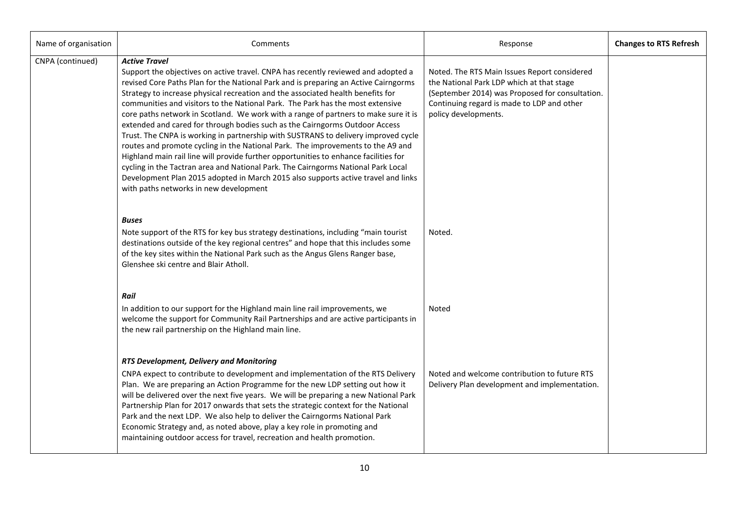| Name of organisation | Comments                                                                                                                                                                                                                                                                                                                                                                                                                                                                                                                                                                                                                                                                                                                                                                                                                                                                                                                                                                                                                         | Response                                                                                                                                                                                                           | <b>Changes to RTS Refresh</b> |
|----------------------|----------------------------------------------------------------------------------------------------------------------------------------------------------------------------------------------------------------------------------------------------------------------------------------------------------------------------------------------------------------------------------------------------------------------------------------------------------------------------------------------------------------------------------------------------------------------------------------------------------------------------------------------------------------------------------------------------------------------------------------------------------------------------------------------------------------------------------------------------------------------------------------------------------------------------------------------------------------------------------------------------------------------------------|--------------------------------------------------------------------------------------------------------------------------------------------------------------------------------------------------------------------|-------------------------------|
| CNPA (continued)     | <b>Active Travel</b><br>Support the objectives on active travel. CNPA has recently reviewed and adopted a<br>revised Core Paths Plan for the National Park and is preparing an Active Cairngorms<br>Strategy to increase physical recreation and the associated health benefits for<br>communities and visitors to the National Park. The Park has the most extensive<br>core paths network in Scotland. We work with a range of partners to make sure it is<br>extended and cared for through bodies such as the Cairngorms Outdoor Access<br>Trust. The CNPA is working in partnership with SUSTRANS to delivery improved cycle<br>routes and promote cycling in the National Park. The improvements to the A9 and<br>Highland main rail line will provide further opportunities to enhance facilities for<br>cycling in the Tactran area and National Park. The Cairngorms National Park Local<br>Development Plan 2015 adopted in March 2015 also supports active travel and links<br>with paths networks in new development | Noted. The RTS Main Issues Report considered<br>the National Park LDP which at that stage<br>(September 2014) was Proposed for consultation.<br>Continuing regard is made to LDP and other<br>policy developments. |                               |
|                      | <b>Buses</b><br>Note support of the RTS for key bus strategy destinations, including "main tourist<br>destinations outside of the key regional centres" and hope that this includes some<br>of the key sites within the National Park such as the Angus Glens Ranger base,<br>Glenshee ski centre and Blair Atholl.                                                                                                                                                                                                                                                                                                                                                                                                                                                                                                                                                                                                                                                                                                              | Noted.                                                                                                                                                                                                             |                               |
|                      | Rail<br>In addition to our support for the Highland main line rail improvements, we<br>welcome the support for Community Rail Partnerships and are active participants in<br>the new rail partnership on the Highland main line.                                                                                                                                                                                                                                                                                                                                                                                                                                                                                                                                                                                                                                                                                                                                                                                                 | Noted                                                                                                                                                                                                              |                               |
|                      | RTS Development, Delivery and Monitoring<br>CNPA expect to contribute to development and implementation of the RTS Delivery<br>Plan. We are preparing an Action Programme for the new LDP setting out how it<br>will be delivered over the next five years. We will be preparing a new National Park<br>Partnership Plan for 2017 onwards that sets the strategic context for the National<br>Park and the next LDP. We also help to deliver the Cairngorms National Park<br>Economic Strategy and, as noted above, play a key role in promoting and<br>maintaining outdoor access for travel, recreation and health promotion.                                                                                                                                                                                                                                                                                                                                                                                                  | Noted and welcome contribution to future RTS<br>Delivery Plan development and implementation.                                                                                                                      |                               |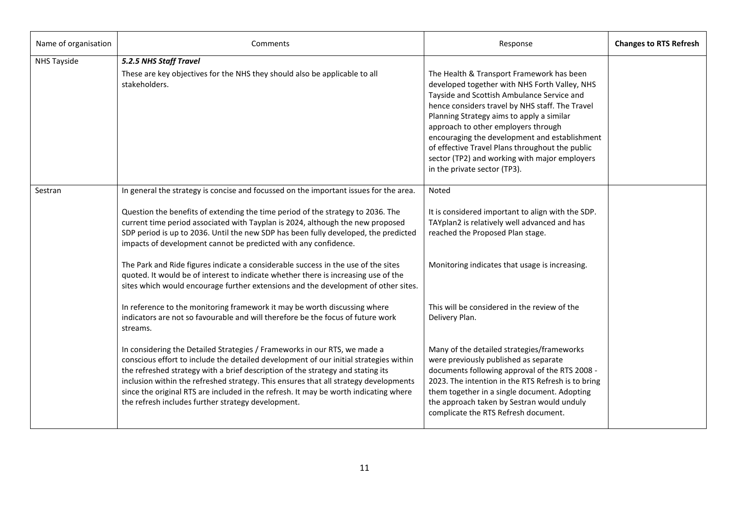| Name of organisation | Comments                                                                                                                                                                                                                                                                                                                                                                                                                                                                                    | Response                                                                                                                                                                                                                                                                                                                                                                                                                                                             | <b>Changes to RTS Refresh</b> |
|----------------------|---------------------------------------------------------------------------------------------------------------------------------------------------------------------------------------------------------------------------------------------------------------------------------------------------------------------------------------------------------------------------------------------------------------------------------------------------------------------------------------------|----------------------------------------------------------------------------------------------------------------------------------------------------------------------------------------------------------------------------------------------------------------------------------------------------------------------------------------------------------------------------------------------------------------------------------------------------------------------|-------------------------------|
| <b>NHS Tayside</b>   | 5.2.5 NHS Staff Travel<br>These are key objectives for the NHS they should also be applicable to all<br>stakeholders.                                                                                                                                                                                                                                                                                                                                                                       | The Health & Transport Framework has been<br>developed together with NHS Forth Valley, NHS<br>Tayside and Scottish Ambulance Service and<br>hence considers travel by NHS staff. The Travel<br>Planning Strategy aims to apply a similar<br>approach to other employers through<br>encouraging the development and establishment<br>of effective Travel Plans throughout the public<br>sector (TP2) and working with major employers<br>in the private sector (TP3). |                               |
| Sestran              | In general the strategy is concise and focussed on the important issues for the area.<br>Question the benefits of extending the time period of the strategy to 2036. The<br>current time period associated with Tayplan is 2024, although the new proposed<br>SDP period is up to 2036. Until the new SDP has been fully developed, the predicted<br>impacts of development cannot be predicted with any confidence.                                                                        | Noted<br>It is considered important to align with the SDP.<br>TAYplan2 is relatively well advanced and has<br>reached the Proposed Plan stage.                                                                                                                                                                                                                                                                                                                       |                               |
|                      | The Park and Ride figures indicate a considerable success in the use of the sites<br>quoted. It would be of interest to indicate whether there is increasing use of the<br>sites which would encourage further extensions and the development of other sites.                                                                                                                                                                                                                               | Monitoring indicates that usage is increasing.                                                                                                                                                                                                                                                                                                                                                                                                                       |                               |
|                      | In reference to the monitoring framework it may be worth discussing where<br>indicators are not so favourable and will therefore be the focus of future work<br>streams.                                                                                                                                                                                                                                                                                                                    | This will be considered in the review of the<br>Delivery Plan.                                                                                                                                                                                                                                                                                                                                                                                                       |                               |
|                      | In considering the Detailed Strategies / Frameworks in our RTS, we made a<br>conscious effort to include the detailed development of our initial strategies within<br>the refreshed strategy with a brief description of the strategy and stating its<br>inclusion within the refreshed strategy. This ensures that all strategy developments<br>since the original RTS are included in the refresh. It may be worth indicating where<br>the refresh includes further strategy development. | Many of the detailed strategies/frameworks<br>were previously published as separate<br>documents following approval of the RTS 2008 -<br>2023. The intention in the RTS Refresh is to bring<br>them together in a single document. Adopting<br>the approach taken by Sestran would unduly<br>complicate the RTS Refresh document.                                                                                                                                    |                               |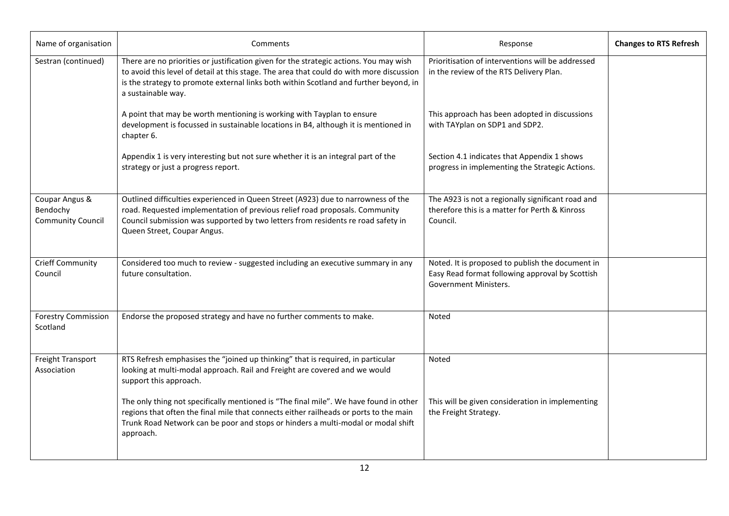| Name of organisation                                   | Comments                                                                                                                                                                                                                                                                                          | Response                                                                                                                     | <b>Changes to RTS Refresh</b> |
|--------------------------------------------------------|---------------------------------------------------------------------------------------------------------------------------------------------------------------------------------------------------------------------------------------------------------------------------------------------------|------------------------------------------------------------------------------------------------------------------------------|-------------------------------|
| Sestran (continued)                                    | There are no priorities or justification given for the strategic actions. You may wish<br>to avoid this level of detail at this stage. The area that could do with more discussion<br>is the strategy to promote external links both within Scotland and further beyond, in<br>a sustainable way. | Prioritisation of interventions will be addressed<br>in the review of the RTS Delivery Plan.                                 |                               |
|                                                        | A point that may be worth mentioning is working with Tayplan to ensure<br>development is focussed in sustainable locations in B4, although it is mentioned in<br>chapter 6.                                                                                                                       | This approach has been adopted in discussions<br>with TAYplan on SDP1 and SDP2.                                              |                               |
|                                                        | Appendix 1 is very interesting but not sure whether it is an integral part of the<br>strategy or just a progress report.                                                                                                                                                                          | Section 4.1 indicates that Appendix 1 shows<br>progress in implementing the Strategic Actions.                               |                               |
| Coupar Angus &<br>Bendochy<br><b>Community Council</b> | Outlined difficulties experienced in Queen Street (A923) due to narrowness of the<br>road. Requested implementation of previous relief road proposals. Community<br>Council submission was supported by two letters from residents re road safety in<br>Queen Street, Coupar Angus.               | The A923 is not a regionally significant road and<br>therefore this is a matter for Perth & Kinross<br>Council.              |                               |
| <b>Crieff Community</b><br>Council                     | Considered too much to review - suggested including an executive summary in any<br>future consultation.                                                                                                                                                                                           | Noted. It is proposed to publish the document in<br>Easy Read format following approval by Scottish<br>Government Ministers. |                               |
| <b>Forestry Commission</b><br>Scotland                 | Endorse the proposed strategy and have no further comments to make.                                                                                                                                                                                                                               | Noted                                                                                                                        |                               |
| Freight Transport<br>Association                       | RTS Refresh emphasises the "joined up thinking" that is required, in particular<br>looking at multi-modal approach. Rail and Freight are covered and we would<br>support this approach.                                                                                                           | Noted                                                                                                                        |                               |
|                                                        | The only thing not specifically mentioned is "The final mile". We have found in other<br>regions that often the final mile that connects either railheads or ports to the main<br>Trunk Road Network can be poor and stops or hinders a multi-modal or modal shift<br>approach.                   | This will be given consideration in implementing<br>the Freight Strategy.                                                    |                               |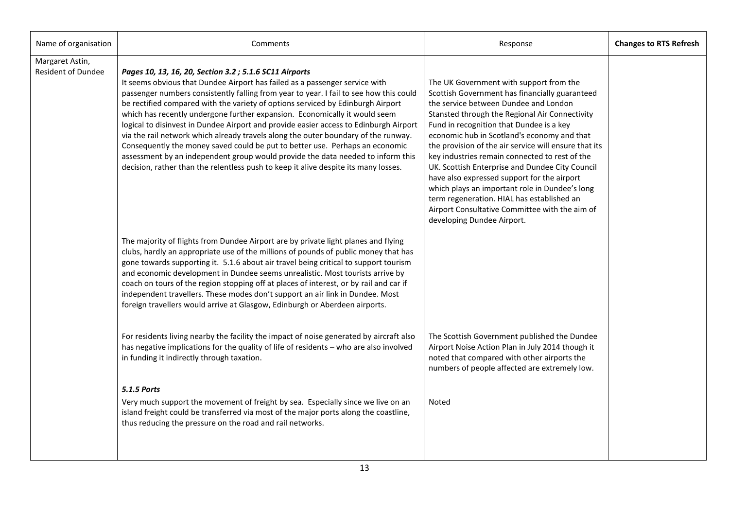| Name of organisation                         | Comments                                                                                                                                                                                                                                                                                                                                                                                                                                                                                                                                                                                                                                                                                                                                                                                                                                  | Response                                                                                                                                                                                                                                                                                                                                                                                                                                                                                                                                                                                                                                                                     | <b>Changes to RTS Refresh</b> |
|----------------------------------------------|-------------------------------------------------------------------------------------------------------------------------------------------------------------------------------------------------------------------------------------------------------------------------------------------------------------------------------------------------------------------------------------------------------------------------------------------------------------------------------------------------------------------------------------------------------------------------------------------------------------------------------------------------------------------------------------------------------------------------------------------------------------------------------------------------------------------------------------------|------------------------------------------------------------------------------------------------------------------------------------------------------------------------------------------------------------------------------------------------------------------------------------------------------------------------------------------------------------------------------------------------------------------------------------------------------------------------------------------------------------------------------------------------------------------------------------------------------------------------------------------------------------------------------|-------------------------------|
| Margaret Astin,<br><b>Resident of Dundee</b> | Pages 10, 13, 16, 20, Section 3.2; 5.1.6 SC11 Airports<br>It seems obvious that Dundee Airport has failed as a passenger service with<br>passenger numbers consistently falling from year to year. I fail to see how this could<br>be rectified compared with the variety of options serviced by Edinburgh Airport<br>which has recently undergone further expansion. Economically it would seem<br>logical to disinvest in Dundee Airport and provide easier access to Edinburgh Airport<br>via the rail network which already travels along the outer boundary of the runway.<br>Consequently the money saved could be put to better use. Perhaps an economic<br>assessment by an independent group would provide the data needed to inform this<br>decision, rather than the relentless push to keep it alive despite its many losses. | The UK Government with support from the<br>Scottish Government has financially guaranteed<br>the service between Dundee and London<br>Stansted through the Regional Air Connectivity<br>Fund in recognition that Dundee is a key<br>economic hub in Scotland's economy and that<br>the provision of the air service will ensure that its<br>key industries remain connected to rest of the<br>UK. Scottish Enterprise and Dundee City Council<br>have also expressed support for the airport<br>which plays an important role in Dundee's long<br>term regeneration. HIAL has established an<br>Airport Consultative Committee with the aim of<br>developing Dundee Airport. |                               |
|                                              | The majority of flights from Dundee Airport are by private light planes and flying<br>clubs, hardly an appropriate use of the millions of pounds of public money that has<br>gone towards supporting it. 5.1.6 about air travel being critical to support tourism<br>and economic development in Dundee seems unrealistic. Most tourists arrive by<br>coach on tours of the region stopping off at places of interest, or by rail and car if<br>independent travellers. These modes don't support an air link in Dundee. Most<br>foreign travellers would arrive at Glasgow, Edinburgh or Aberdeen airports.                                                                                                                                                                                                                              |                                                                                                                                                                                                                                                                                                                                                                                                                                                                                                                                                                                                                                                                              |                               |
|                                              | For residents living nearby the facility the impact of noise generated by aircraft also<br>has negative implications for the quality of life of residents - who are also involved<br>in funding it indirectly through taxation.                                                                                                                                                                                                                                                                                                                                                                                                                                                                                                                                                                                                           | The Scottish Government published the Dundee<br>Airport Noise Action Plan in July 2014 though it<br>noted that compared with other airports the<br>numbers of people affected are extremely low.                                                                                                                                                                                                                                                                                                                                                                                                                                                                             |                               |
|                                              | <b>5.1.5 Ports</b><br>Very much support the movement of freight by sea. Especially since we live on an<br>island freight could be transferred via most of the major ports along the coastline,<br>thus reducing the pressure on the road and rail networks.                                                                                                                                                                                                                                                                                                                                                                                                                                                                                                                                                                               | Noted                                                                                                                                                                                                                                                                                                                                                                                                                                                                                                                                                                                                                                                                        |                               |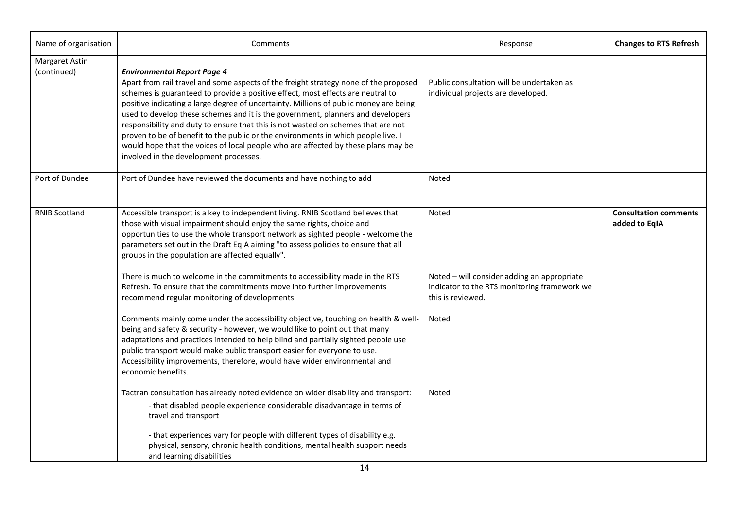| Name of organisation          | Comments                                                                                                                                                                                                                                                                                                                                                                                                                                                                                                                                                                                                                                                                                           | Response                                                                                                         | <b>Changes to RTS Refresh</b>                 |
|-------------------------------|----------------------------------------------------------------------------------------------------------------------------------------------------------------------------------------------------------------------------------------------------------------------------------------------------------------------------------------------------------------------------------------------------------------------------------------------------------------------------------------------------------------------------------------------------------------------------------------------------------------------------------------------------------------------------------------------------|------------------------------------------------------------------------------------------------------------------|-----------------------------------------------|
| Margaret Astin<br>(continued) | <b>Environmental Report Page 4</b><br>Apart from rail travel and some aspects of the freight strategy none of the proposed<br>schemes is guaranteed to provide a positive effect, most effects are neutral to<br>positive indicating a large degree of uncertainty. Millions of public money are being<br>used to develop these schemes and it is the government, planners and developers<br>responsibility and duty to ensure that this is not wasted on schemes that are not<br>proven to be of benefit to the public or the environments in which people live. I<br>would hope that the voices of local people who are affected by these plans may be<br>involved in the development processes. | Public consultation will be undertaken as<br>individual projects are developed.                                  |                                               |
| Port of Dundee                | Port of Dundee have reviewed the documents and have nothing to add                                                                                                                                                                                                                                                                                                                                                                                                                                                                                                                                                                                                                                 | Noted                                                                                                            |                                               |
| <b>RNIB Scotland</b>          | Accessible transport is a key to independent living. RNIB Scotland believes that<br>those with visual impairment should enjoy the same rights, choice and<br>opportunities to use the whole transport network as sighted people - welcome the<br>parameters set out in the Draft EqIA aiming "to assess policies to ensure that all<br>groups in the population are affected equally".                                                                                                                                                                                                                                                                                                             | Noted                                                                                                            | <b>Consultation comments</b><br>added to EqIA |
|                               | There is much to welcome in the commitments to accessibility made in the RTS<br>Refresh. To ensure that the commitments move into further improvements<br>recommend regular monitoring of developments.                                                                                                                                                                                                                                                                                                                                                                                                                                                                                            | Noted - will consider adding an appropriate<br>indicator to the RTS monitoring framework we<br>this is reviewed. |                                               |
|                               | Comments mainly come under the accessibility objective, touching on health & well-<br>being and safety & security - however, we would like to point out that many<br>adaptations and practices intended to help blind and partially sighted people use<br>public transport would make public transport easier for everyone to use.<br>Accessibility improvements, therefore, would have wider environmental and<br>economic benefits.                                                                                                                                                                                                                                                              | Noted                                                                                                            |                                               |
|                               | Tactran consultation has already noted evidence on wider disability and transport:<br>- that disabled people experience considerable disadvantage in terms of<br>travel and transport<br>- that experiences vary for people with different types of disability e.g.<br>physical, sensory, chronic health conditions, mental health support needs<br>and learning disabilities                                                                                                                                                                                                                                                                                                                      | Noted                                                                                                            |                                               |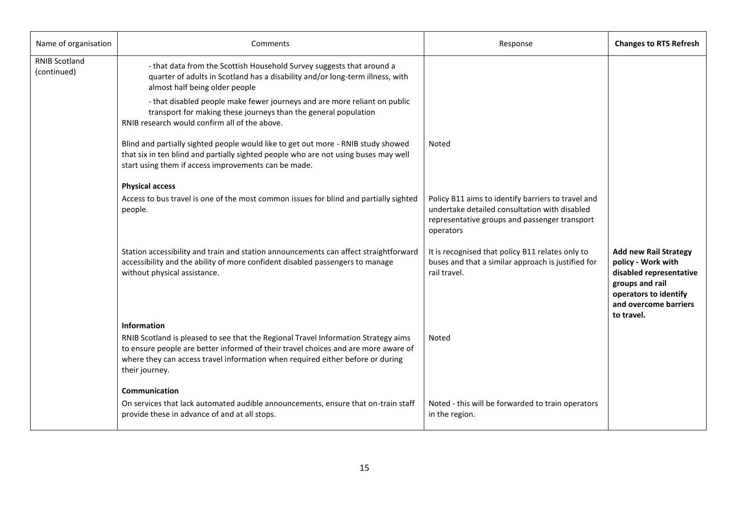| Name of organisation                | Comments                                                                                                                                                                                                                                                                                    | Response                                                                                                                                                          | <b>Changes to RTS Refresh</b>                                                                                                                                    |
|-------------------------------------|---------------------------------------------------------------------------------------------------------------------------------------------------------------------------------------------------------------------------------------------------------------------------------------------|-------------------------------------------------------------------------------------------------------------------------------------------------------------------|------------------------------------------------------------------------------------------------------------------------------------------------------------------|
| <b>RNIB Scotland</b><br>(continued) | - that data from the Scottish Household Survey suggests that around a<br>quarter of adults in Scotland has a disability and/or long-term illness, with<br>almost half being older people                                                                                                    |                                                                                                                                                                   |                                                                                                                                                                  |
|                                     | - that disabled people make fewer journeys and are more reliant on public<br>transport for making these journeys than the general population<br>RNIB research would confirm all of the above.                                                                                               |                                                                                                                                                                   |                                                                                                                                                                  |
|                                     | Blind and partially sighted people would like to get out more - RNIB study showed<br>that six in ten blind and partially sighted people who are not using buses may well<br>start using them if access improvements can be made.                                                            | Noted                                                                                                                                                             |                                                                                                                                                                  |
|                                     | <b>Physical access</b>                                                                                                                                                                                                                                                                      |                                                                                                                                                                   |                                                                                                                                                                  |
|                                     | Access to bus travel is one of the most common issues for blind and partially sighted<br>people.                                                                                                                                                                                            | Policy B11 aims to identify barriers to travel and<br>undertake detailed consultation with disabled<br>representative groups and passenger transport<br>operators |                                                                                                                                                                  |
|                                     | Station accessibility and train and station announcements can affect straightforward<br>accessibility and the ability of more confident disabled passengers to manage<br>without physical assistance.                                                                                       | It is recognised that policy B11 relates only to<br>buses and that a similar approach is justified for<br>rail travel.                                            | <b>Add new Rail Strategy</b><br>policy - Work with<br>disabled representative<br>groups and rail<br>operators to identify<br>and overcome barriers<br>to travel. |
|                                     | Information<br>RNIB Scotland is pleased to see that the Regional Travel Information Strategy aims<br>to ensure people are better informed of their travel choices and are more aware of<br>where they can access travel information when required either before or during<br>their journey. | Noted                                                                                                                                                             |                                                                                                                                                                  |
|                                     | Communication<br>On services that lack automated audible announcements, ensure that on-train staff<br>provide these in advance of and at all stops.                                                                                                                                         | Noted - this will be forwarded to train operators<br>in the region.                                                                                               |                                                                                                                                                                  |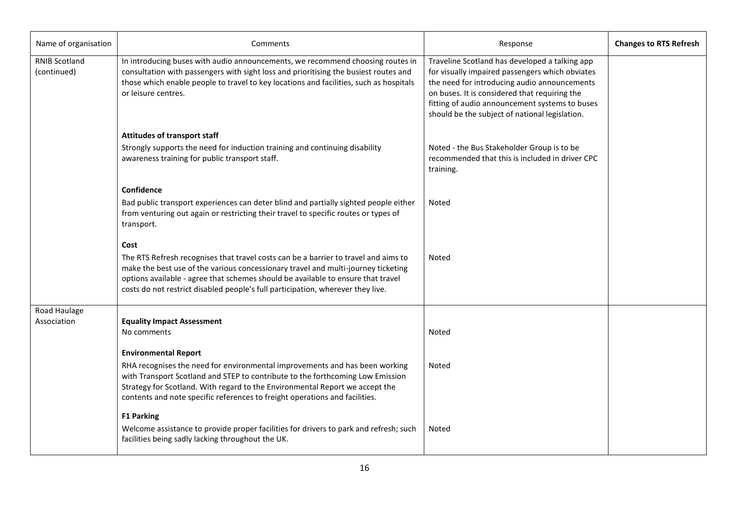| Name of organisation                | Comments                                                                                                                                                                                                                                                                                                                                                    | Response                                                                                                                                                                                                                                                                                               | <b>Changes to RTS Refresh</b> |
|-------------------------------------|-------------------------------------------------------------------------------------------------------------------------------------------------------------------------------------------------------------------------------------------------------------------------------------------------------------------------------------------------------------|--------------------------------------------------------------------------------------------------------------------------------------------------------------------------------------------------------------------------------------------------------------------------------------------------------|-------------------------------|
| <b>RNIB Scotland</b><br>(continued) | In introducing buses with audio announcements, we recommend choosing routes in<br>consultation with passengers with sight loss and prioritising the busiest routes and<br>those which enable people to travel to key locations and facilities, such as hospitals<br>or leisure centres.                                                                     | Traveline Scotland has developed a talking app<br>for visually impaired passengers which obviates<br>the need for introducing audio announcements<br>on buses. It is considered that requiring the<br>fitting of audio announcement systems to buses<br>should be the subject of national legislation. |                               |
|                                     | <b>Attitudes of transport staff</b>                                                                                                                                                                                                                                                                                                                         |                                                                                                                                                                                                                                                                                                        |                               |
|                                     | Strongly supports the need for induction training and continuing disability<br>awareness training for public transport staff.                                                                                                                                                                                                                               | Noted - the Bus Stakeholder Group is to be<br>recommended that this is included in driver CPC<br>training.                                                                                                                                                                                             |                               |
|                                     | Confidence                                                                                                                                                                                                                                                                                                                                                  |                                                                                                                                                                                                                                                                                                        |                               |
|                                     | Bad public transport experiences can deter blind and partially sighted people either<br>from venturing out again or restricting their travel to specific routes or types of<br>transport.                                                                                                                                                                   | <b>Noted</b>                                                                                                                                                                                                                                                                                           |                               |
|                                     | Cost<br>The RTS Refresh recognises that travel costs can be a barrier to travel and aims to<br>make the best use of the various concessionary travel and multi-journey ticketing<br>options available - agree that schemes should be available to ensure that travel<br>costs do not restrict disabled people's full participation, wherever they live.     | Noted                                                                                                                                                                                                                                                                                                  |                               |
| Road Haulage                        |                                                                                                                                                                                                                                                                                                                                                             |                                                                                                                                                                                                                                                                                                        |                               |
| Association                         | <b>Equality Impact Assessment</b><br>No comments                                                                                                                                                                                                                                                                                                            | Noted                                                                                                                                                                                                                                                                                                  |                               |
|                                     | <b>Environmental Report</b><br>RHA recognises the need for environmental improvements and has been working<br>with Transport Scotland and STEP to contribute to the forthcoming Low Emission<br>Strategy for Scotland. With regard to the Environmental Report we accept the<br>contents and note specific references to freight operations and facilities. | Noted                                                                                                                                                                                                                                                                                                  |                               |
|                                     | <b>F1 Parking</b><br>Welcome assistance to provide proper facilities for drivers to park and refresh; such<br>facilities being sadly lacking throughout the UK.                                                                                                                                                                                             | <b>Noted</b>                                                                                                                                                                                                                                                                                           |                               |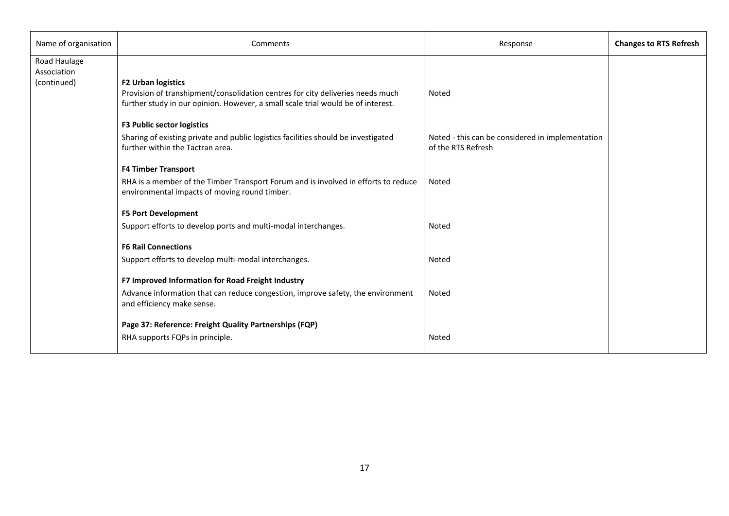| Name of organisation                       | Comments                                                                                                                                                                                        | Response                                                               | <b>Changes to RTS Refresh</b> |
|--------------------------------------------|-------------------------------------------------------------------------------------------------------------------------------------------------------------------------------------------------|------------------------------------------------------------------------|-------------------------------|
| Road Haulage<br>Association<br>(continued) | <b>F2 Urban logistics</b><br>Provision of transhipment/consolidation centres for city deliveries needs much<br>further study in our opinion. However, a small scale trial would be of interest. | Noted                                                                  |                               |
|                                            | <b>F3 Public sector logistics</b><br>Sharing of existing private and public logistics facilities should be investigated<br>further within the Tactran area.                                     | Noted - this can be considered in implementation<br>of the RTS Refresh |                               |
|                                            | <b>F4 Timber Transport</b><br>RHA is a member of the Timber Transport Forum and is involved in efforts to reduce<br>environmental impacts of moving round timber.                               | Noted                                                                  |                               |
|                                            | <b>F5 Port Development</b><br>Support efforts to develop ports and multi-modal interchanges.<br><b>F6 Rail Connections</b>                                                                      | Noted                                                                  |                               |
|                                            | Support efforts to develop multi-modal interchanges.                                                                                                                                            | Noted                                                                  |                               |
|                                            | F7 Improved Information for Road Freight Industry<br>Advance information that can reduce congestion, improve safety, the environment<br>and efficiency make sense.                              | Noted                                                                  |                               |
|                                            | Page 37: Reference: Freight Quality Partnerships (FQP)<br>RHA supports FQPs in principle.                                                                                                       | Noted                                                                  |                               |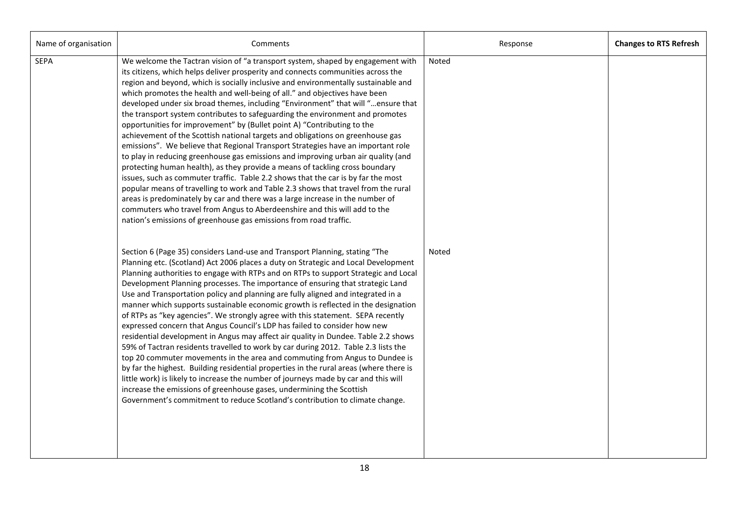| Name of organisation | Comments                                                                                                                                                                                                                                                                                                                                                                                                                                                                                                                                                                                                                                                                                                                                                                                                                                                                                                                                                                                                                                                                                                                                                                                                                                                                                                                                         | Response | <b>Changes to RTS Refresh</b> |
|----------------------|--------------------------------------------------------------------------------------------------------------------------------------------------------------------------------------------------------------------------------------------------------------------------------------------------------------------------------------------------------------------------------------------------------------------------------------------------------------------------------------------------------------------------------------------------------------------------------------------------------------------------------------------------------------------------------------------------------------------------------------------------------------------------------------------------------------------------------------------------------------------------------------------------------------------------------------------------------------------------------------------------------------------------------------------------------------------------------------------------------------------------------------------------------------------------------------------------------------------------------------------------------------------------------------------------------------------------------------------------|----------|-------------------------------|
| <b>SEPA</b>          | We welcome the Tactran vision of "a transport system, shaped by engagement with<br>its citizens, which helps deliver prosperity and connects communities across the<br>region and beyond, which is socially inclusive and environmentally sustainable and<br>which promotes the health and well-being of all." and objectives have been<br>developed under six broad themes, including "Environment" that will "ensure that<br>the transport system contributes to safeguarding the environment and promotes<br>opportunities for improvement" by (Bullet point A) "Contributing to the<br>achievement of the Scottish national targets and obligations on greenhouse gas<br>emissions". We believe that Regional Transport Strategies have an important role<br>to play in reducing greenhouse gas emissions and improving urban air quality (and<br>protecting human health), as they provide a means of tackling cross boundary<br>issues, such as commuter traffic. Table 2.2 shows that the car is by far the most<br>popular means of travelling to work and Table 2.3 shows that travel from the rural<br>areas is predominately by car and there was a large increase in the number of<br>commuters who travel from Angus to Aberdeenshire and this will add to the<br>nation's emissions of greenhouse gas emissions from road traffic. | Noted    |                               |
|                      | Section 6 (Page 35) considers Land-use and Transport Planning, stating "The<br>Planning etc. (Scotland) Act 2006 places a duty on Strategic and Local Development<br>Planning authorities to engage with RTPs and on RTPs to support Strategic and Local<br>Development Planning processes. The importance of ensuring that strategic Land<br>Use and Transportation policy and planning are fully aligned and integrated in a<br>manner which supports sustainable economic growth is reflected in the designation<br>of RTPs as "key agencies". We strongly agree with this statement. SEPA recently<br>expressed concern that Angus Council's LDP has failed to consider how new<br>residential development in Angus may affect air quality in Dundee. Table 2.2 shows<br>59% of Tactran residents travelled to work by car during 2012. Table 2.3 lists the<br>top 20 commuter movements in the area and commuting from Angus to Dundee is<br>by far the highest. Building residential properties in the rural areas (where there is<br>little work) is likely to increase the number of journeys made by car and this will<br>increase the emissions of greenhouse gases, undermining the Scottish<br>Government's commitment to reduce Scotland's contribution to climate change.                                                          | Noted    |                               |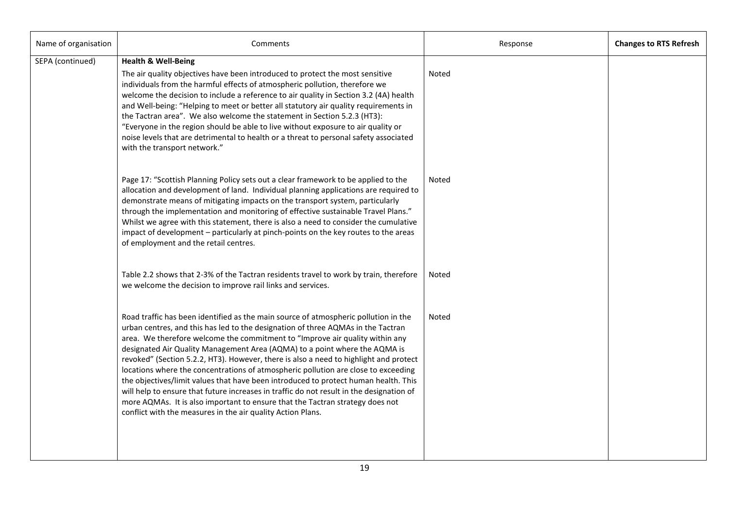| Name of organisation | Comments                                                                                                                                                                                                                                                                                                                                                                                                                                                                                                                                                                                                                                                                                                                                                                                                                                                | Response | <b>Changes to RTS Refresh</b> |
|----------------------|---------------------------------------------------------------------------------------------------------------------------------------------------------------------------------------------------------------------------------------------------------------------------------------------------------------------------------------------------------------------------------------------------------------------------------------------------------------------------------------------------------------------------------------------------------------------------------------------------------------------------------------------------------------------------------------------------------------------------------------------------------------------------------------------------------------------------------------------------------|----------|-------------------------------|
| SEPA (continued)     | <b>Health &amp; Well-Being</b><br>The air quality objectives have been introduced to protect the most sensitive<br>individuals from the harmful effects of atmospheric pollution, therefore we<br>welcome the decision to include a reference to air quality in Section 3.2 (4A) health<br>and Well-being: "Helping to meet or better all statutory air quality requirements in<br>the Tactran area". We also welcome the statement in Section 5.2.3 (HT3):<br>"Everyone in the region should be able to live without exposure to air quality or<br>noise levels that are detrimental to health or a threat to personal safety associated<br>with the transport network."                                                                                                                                                                               | Noted    |                               |
|                      | Page 17: "Scottish Planning Policy sets out a clear framework to be applied to the<br>allocation and development of land. Individual planning applications are required to<br>demonstrate means of mitigating impacts on the transport system, particularly<br>through the implementation and monitoring of effective sustainable Travel Plans."<br>Whilst we agree with this statement, there is also a need to consider the cumulative<br>impact of development - particularly at pinch-points on the key routes to the areas<br>of employment and the retail centres.                                                                                                                                                                                                                                                                                | Noted    |                               |
|                      | Table 2.2 shows that 2-3% of the Tactran residents travel to work by train, therefore<br>we welcome the decision to improve rail links and services.                                                                                                                                                                                                                                                                                                                                                                                                                                                                                                                                                                                                                                                                                                    | Noted    |                               |
|                      | Road traffic has been identified as the main source of atmospheric pollution in the<br>urban centres, and this has led to the designation of three AQMAs in the Tactran<br>area. We therefore welcome the commitment to "Improve air quality within any<br>designated Air Quality Management Area (AQMA) to a point where the AQMA is<br>revoked" (Section 5.2.2, HT3). However, there is also a need to highlight and protect<br>locations where the concentrations of atmospheric pollution are close to exceeding<br>the objectives/limit values that have been introduced to protect human health. This<br>will help to ensure that future increases in traffic do not result in the designation of<br>more AQMAs. It is also important to ensure that the Tactran strategy does not<br>conflict with the measures in the air quality Action Plans. | Noted    |                               |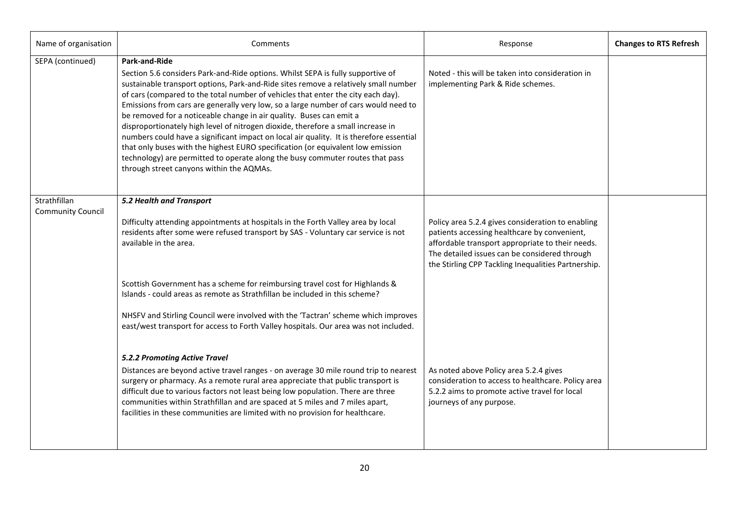| Name of organisation                     | Comments                                                                                                                                                                                                                                                                                                                                                                                                                                                                                                                                                                                                                                                                                                                                                                                                                                        | Response                                                                                                                                                                                                                                                      | <b>Changes to RTS Refresh</b> |
|------------------------------------------|-------------------------------------------------------------------------------------------------------------------------------------------------------------------------------------------------------------------------------------------------------------------------------------------------------------------------------------------------------------------------------------------------------------------------------------------------------------------------------------------------------------------------------------------------------------------------------------------------------------------------------------------------------------------------------------------------------------------------------------------------------------------------------------------------------------------------------------------------|---------------------------------------------------------------------------------------------------------------------------------------------------------------------------------------------------------------------------------------------------------------|-------------------------------|
| SEPA (continued)                         | <b>Park-and-Ride</b><br>Section 5.6 considers Park-and-Ride options. Whilst SEPA is fully supportive of<br>sustainable transport options, Park-and-Ride sites remove a relatively small number<br>of cars (compared to the total number of vehicles that enter the city each day).<br>Emissions from cars are generally very low, so a large number of cars would need to<br>be removed for a noticeable change in air quality. Buses can emit a<br>disproportionately high level of nitrogen dioxide, therefore a small increase in<br>numbers could have a significant impact on local air quality. It is therefore essential<br>that only buses with the highest EURO specification (or equivalent low emission<br>technology) are permitted to operate along the busy commuter routes that pass<br>through street canyons within the AQMAs. | Noted - this will be taken into consideration in<br>implementing Park & Ride schemes.                                                                                                                                                                         |                               |
| Strathfillan<br><b>Community Council</b> | 5.2 Health and Transport<br>Difficulty attending appointments at hospitals in the Forth Valley area by local<br>residents after some were refused transport by SAS - Voluntary car service is not<br>available in the area.                                                                                                                                                                                                                                                                                                                                                                                                                                                                                                                                                                                                                     | Policy area 5.2.4 gives consideration to enabling<br>patients accessing healthcare by convenient,<br>affordable transport appropriate to their needs.<br>The detailed issues can be considered through<br>the Stirling CPP Tackling Inequalities Partnership. |                               |
|                                          | Scottish Government has a scheme for reimbursing travel cost for Highlands &<br>Islands - could areas as remote as Strathfillan be included in this scheme?<br>NHSFV and Stirling Council were involved with the 'Tactran' scheme which improves<br>east/west transport for access to Forth Valley hospitals. Our area was not included.                                                                                                                                                                                                                                                                                                                                                                                                                                                                                                        |                                                                                                                                                                                                                                                               |                               |
|                                          | 5.2.2 Promoting Active Travel<br>Distances are beyond active travel ranges - on average 30 mile round trip to nearest<br>surgery or pharmacy. As a remote rural area appreciate that public transport is<br>difficult due to various factors not least being low population. There are three<br>communities within Strathfillan and are spaced at 5 miles and 7 miles apart,<br>facilities in these communities are limited with no provision for healthcare.                                                                                                                                                                                                                                                                                                                                                                                   | As noted above Policy area 5.2.4 gives<br>consideration to access to healthcare. Policy area<br>5.2.2 aims to promote active travel for local<br>journeys of any purpose.                                                                                     |                               |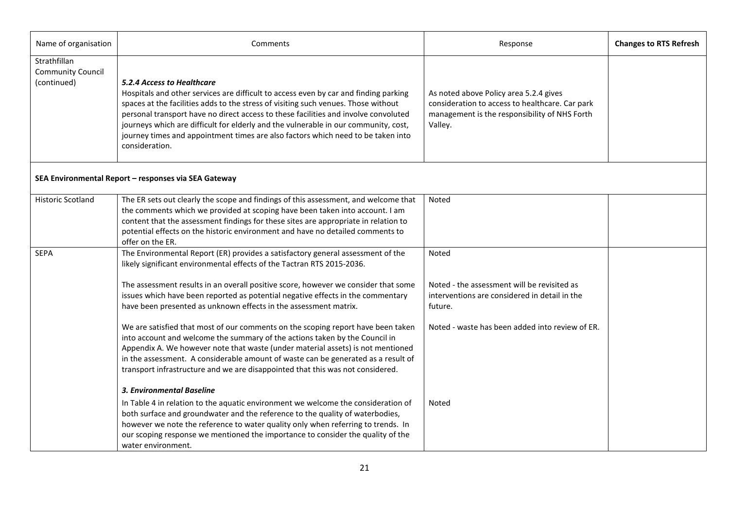| Name of organisation                                    | Comments                                                                                                                                                                                                                                                                                                                                                                                                                                                                                     | Response                                                                                                                                              | <b>Changes to RTS Refresh</b> |
|---------------------------------------------------------|----------------------------------------------------------------------------------------------------------------------------------------------------------------------------------------------------------------------------------------------------------------------------------------------------------------------------------------------------------------------------------------------------------------------------------------------------------------------------------------------|-------------------------------------------------------------------------------------------------------------------------------------------------------|-------------------------------|
| Strathfillan<br><b>Community Council</b><br>(continued) | 5.2.4 Access to Healthcare<br>Hospitals and other services are difficult to access even by car and finding parking<br>spaces at the facilities adds to the stress of visiting such venues. Those without<br>personal transport have no direct access to these facilities and involve convoluted<br>journeys which are difficult for elderly and the vulnerable in our community, cost,<br>journey times and appointment times are also factors which need to be taken into<br>consideration. | As noted above Policy area 5.2.4 gives<br>consideration to access to healthcare. Car park<br>management is the responsibility of NHS Forth<br>Valley. |                               |
|                                                         | SEA Environmental Report - responses via SEA Gateway                                                                                                                                                                                                                                                                                                                                                                                                                                         |                                                                                                                                                       |                               |
| <b>Historic Scotland</b>                                | The ER sets out clearly the scope and findings of this assessment, and welcome that<br>the comments which we provided at scoping have been taken into account. I am<br>content that the assessment findings for these sites are appropriate in relation to<br>potential effects on the historic environment and have no detailed comments to<br>offer on the ER.                                                                                                                             | Noted                                                                                                                                                 |                               |
| <b>SEPA</b>                                             | The Environmental Report (ER) provides a satisfactory general assessment of the<br>likely significant environmental effects of the Tactran RTS 2015-2036.                                                                                                                                                                                                                                                                                                                                    | Noted                                                                                                                                                 |                               |
|                                                         | The assessment results in an overall positive score, however we consider that some<br>issues which have been reported as potential negative effects in the commentary<br>have been presented as unknown effects in the assessment matrix.                                                                                                                                                                                                                                                    | Noted - the assessment will be revisited as<br>interventions are considered in detail in the<br>future.                                               |                               |
|                                                         | We are satisfied that most of our comments on the scoping report have been taken<br>into account and welcome the summary of the actions taken by the Council in<br>Appendix A. We however note that waste (under material assets) is not mentioned<br>in the assessment. A considerable amount of waste can be generated as a result of<br>transport infrastructure and we are disappointed that this was not considered.                                                                    | Noted - waste has been added into review of ER.                                                                                                       |                               |
|                                                         | 3. Environmental Baseline                                                                                                                                                                                                                                                                                                                                                                                                                                                                    |                                                                                                                                                       |                               |
|                                                         | In Table 4 in relation to the aquatic environment we welcome the consideration of<br>both surface and groundwater and the reference to the quality of waterbodies,<br>however we note the reference to water quality only when referring to trends. In<br>our scoping response we mentioned the importance to consider the quality of the<br>water environment.                                                                                                                              | Noted                                                                                                                                                 |                               |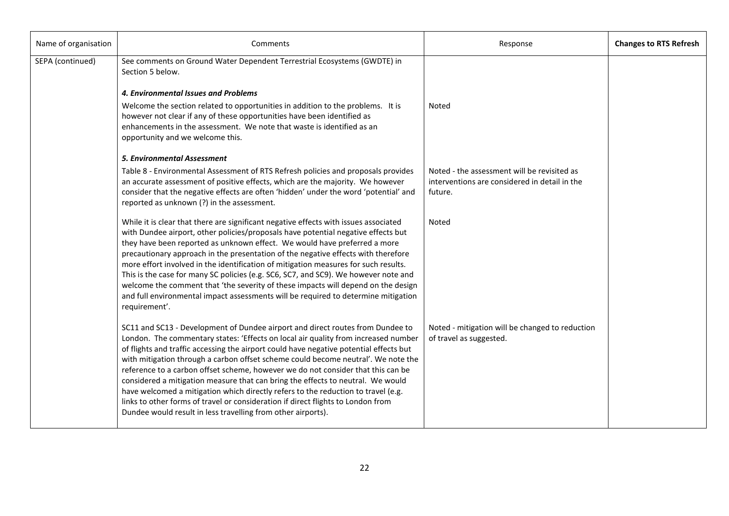| Name of organisation | Comments                                                                                                                                                                                                                                                                                                                                                                                                                                                                                                                                                                                                                                                                                                                                                            | Response                                                                                                | <b>Changes to RTS Refresh</b> |
|----------------------|---------------------------------------------------------------------------------------------------------------------------------------------------------------------------------------------------------------------------------------------------------------------------------------------------------------------------------------------------------------------------------------------------------------------------------------------------------------------------------------------------------------------------------------------------------------------------------------------------------------------------------------------------------------------------------------------------------------------------------------------------------------------|---------------------------------------------------------------------------------------------------------|-------------------------------|
| SEPA (continued)     | See comments on Ground Water Dependent Terrestrial Ecosystems (GWDTE) in<br>Section 5 below.<br>4. Environmental Issues and Problems<br>Welcome the section related to opportunities in addition to the problems. It is<br>however not clear if any of these opportunities have been identified as<br>enhancements in the assessment. We note that waste is identified as an<br>opportunity and we welcome this.                                                                                                                                                                                                                                                                                                                                                    | Noted                                                                                                   |                               |
|                      | <b>5. Environmental Assessment</b><br>Table 8 - Environmental Assessment of RTS Refresh policies and proposals provides<br>an accurate assessment of positive effects, which are the majority. We however<br>consider that the negative effects are often 'hidden' under the word 'potential' and<br>reported as unknown (?) in the assessment.                                                                                                                                                                                                                                                                                                                                                                                                                     | Noted - the assessment will be revisited as<br>interventions are considered in detail in the<br>future. |                               |
|                      | While it is clear that there are significant negative effects with issues associated<br>with Dundee airport, other policies/proposals have potential negative effects but<br>they have been reported as unknown effect. We would have preferred a more<br>precautionary approach in the presentation of the negative effects with therefore<br>more effort involved in the identification of mitigation measures for such results.<br>This is the case for many SC policies (e.g. SC6, SC7, and SC9). We however note and<br>welcome the comment that 'the severity of these impacts will depend on the design<br>and full environmental impact assessments will be required to determine mitigation<br>requirement'.                                               | Noted                                                                                                   |                               |
|                      | SC11 and SC13 - Development of Dundee airport and direct routes from Dundee to<br>London. The commentary states: 'Effects on local air quality from increased number<br>of flights and traffic accessing the airport could have negative potential effects but<br>with mitigation through a carbon offset scheme could become neutral'. We note the<br>reference to a carbon offset scheme, however we do not consider that this can be<br>considered a mitigation measure that can bring the effects to neutral. We would<br>have welcomed a mitigation which directly refers to the reduction to travel (e.g.<br>links to other forms of travel or consideration if direct flights to London from<br>Dundee would result in less travelling from other airports). | Noted - mitigation will be changed to reduction<br>of travel as suggested.                              |                               |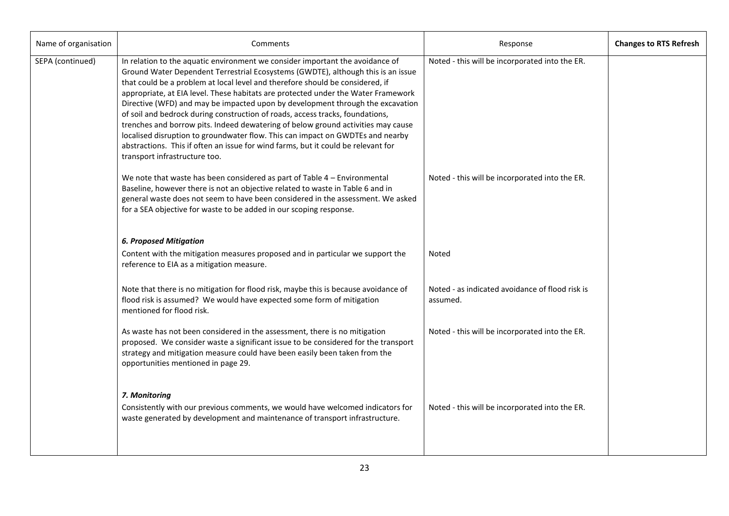| Name of organisation | Comments                                                                                                                                                                                                                                                                                                                                                                                                                                                                                                                                                                                                                                                                                                                                                                                               | Response                                                    | <b>Changes to RTS Refresh</b> |
|----------------------|--------------------------------------------------------------------------------------------------------------------------------------------------------------------------------------------------------------------------------------------------------------------------------------------------------------------------------------------------------------------------------------------------------------------------------------------------------------------------------------------------------------------------------------------------------------------------------------------------------------------------------------------------------------------------------------------------------------------------------------------------------------------------------------------------------|-------------------------------------------------------------|-------------------------------|
| SEPA (continued)     | In relation to the aquatic environment we consider important the avoidance of<br>Ground Water Dependent Terrestrial Ecosystems (GWDTE), although this is an issue<br>that could be a problem at local level and therefore should be considered, if<br>appropriate, at EIA level. These habitats are protected under the Water Framework<br>Directive (WFD) and may be impacted upon by development through the excavation<br>of soil and bedrock during construction of roads, access tracks, foundations,<br>trenches and borrow pits. Indeed dewatering of below ground activities may cause<br>localised disruption to groundwater flow. This can impact on GWDTEs and nearby<br>abstractions. This if often an issue for wind farms, but it could be relevant for<br>transport infrastructure too. | Noted - this will be incorporated into the ER.              |                               |
|                      | We note that waste has been considered as part of Table $4$ – Environmental<br>Baseline, however there is not an objective related to waste in Table 6 and in<br>general waste does not seem to have been considered in the assessment. We asked<br>for a SEA objective for waste to be added in our scoping response.                                                                                                                                                                                                                                                                                                                                                                                                                                                                                 | Noted - this will be incorporated into the ER.              |                               |
|                      | <b>6. Proposed Mitigation</b>                                                                                                                                                                                                                                                                                                                                                                                                                                                                                                                                                                                                                                                                                                                                                                          |                                                             |                               |
|                      | Content with the mitigation measures proposed and in particular we support the<br>reference to EIA as a mitigation measure.                                                                                                                                                                                                                                                                                                                                                                                                                                                                                                                                                                                                                                                                            | Noted                                                       |                               |
|                      | Note that there is no mitigation for flood risk, maybe this is because avoidance of<br>flood risk is assumed? We would have expected some form of mitigation<br>mentioned for flood risk.                                                                                                                                                                                                                                                                                                                                                                                                                                                                                                                                                                                                              | Noted - as indicated avoidance of flood risk is<br>assumed. |                               |
|                      | As waste has not been considered in the assessment, there is no mitigation<br>proposed. We consider waste a significant issue to be considered for the transport<br>strategy and mitigation measure could have been easily been taken from the<br>opportunities mentioned in page 29.                                                                                                                                                                                                                                                                                                                                                                                                                                                                                                                  | Noted - this will be incorporated into the ER.              |                               |
|                      | 7. Monitoring<br>Consistently with our previous comments, we would have welcomed indicators for<br>waste generated by development and maintenance of transport infrastructure.                                                                                                                                                                                                                                                                                                                                                                                                                                                                                                                                                                                                                         | Noted - this will be incorporated into the ER.              |                               |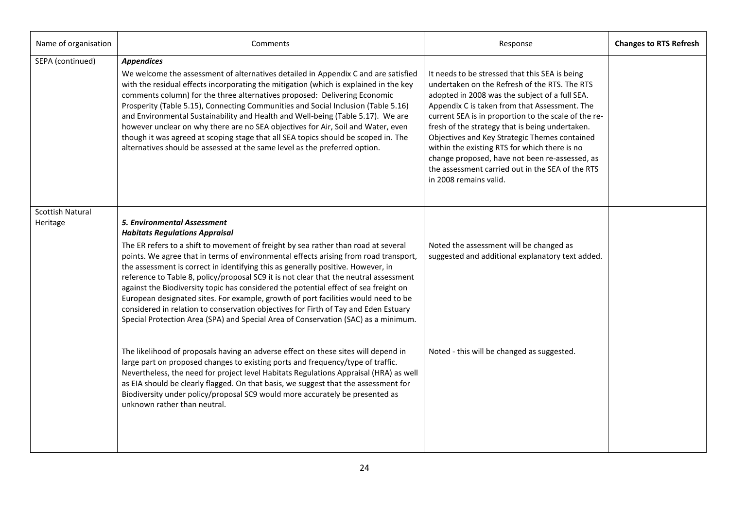| Name of organisation                | Comments                                                                                                                                                                                                                                                                                                                                                                                                                                                                                                                                                                                                                                                                                                                                                                                          | Response                                                                                                                                                                                                                                                                                                                                                                                                                                                                                                                                        | <b>Changes to RTS Refresh</b> |
|-------------------------------------|---------------------------------------------------------------------------------------------------------------------------------------------------------------------------------------------------------------------------------------------------------------------------------------------------------------------------------------------------------------------------------------------------------------------------------------------------------------------------------------------------------------------------------------------------------------------------------------------------------------------------------------------------------------------------------------------------------------------------------------------------------------------------------------------------|-------------------------------------------------------------------------------------------------------------------------------------------------------------------------------------------------------------------------------------------------------------------------------------------------------------------------------------------------------------------------------------------------------------------------------------------------------------------------------------------------------------------------------------------------|-------------------------------|
| SEPA (continued)                    | <b>Appendices</b><br>We welcome the assessment of alternatives detailed in Appendix C and are satisfied<br>with the residual effects incorporating the mitigation (which is explained in the key<br>comments column) for the three alternatives proposed: Delivering Economic<br>Prosperity (Table 5.15), Connecting Communities and Social Inclusion (Table 5.16)<br>and Environmental Sustainability and Health and Well-being (Table 5.17). We are<br>however unclear on why there are no SEA objectives for Air, Soil and Water, even<br>though it was agreed at scoping stage that all SEA topics should be scoped in. The<br>alternatives should be assessed at the same level as the preferred option.                                                                                     | It needs to be stressed that this SEA is being<br>undertaken on the Refresh of the RTS. The RTS<br>adopted in 2008 was the subject of a full SEA.<br>Appendix C is taken from that Assessment. The<br>current SEA is in proportion to the scale of the re-<br>fresh of the strategy that is being undertaken.<br>Objectives and Key Strategic Themes contained<br>within the existing RTS for which there is no<br>change proposed, have not been re-assessed, as<br>the assessment carried out in the SEA of the RTS<br>in 2008 remains valid. |                               |
| <b>Scottish Natural</b><br>Heritage | <b>5. Environmental Assessment</b><br><b>Habitats Regulations Appraisal</b><br>The ER refers to a shift to movement of freight by sea rather than road at several<br>points. We agree that in terms of environmental effects arising from road transport,<br>the assessment is correct in identifying this as generally positive. However, in<br>reference to Table 8, policy/proposal SC9 it is not clear that the neutral assessment<br>against the Biodiversity topic has considered the potential effect of sea freight on<br>European designated sites. For example, growth of port facilities would need to be<br>considered in relation to conservation objectives for Firth of Tay and Eden Estuary<br>Special Protection Area (SPA) and Special Area of Conservation (SAC) as a minimum. | Noted the assessment will be changed as<br>suggested and additional explanatory text added.                                                                                                                                                                                                                                                                                                                                                                                                                                                     |                               |
|                                     | The likelihood of proposals having an adverse effect on these sites will depend in<br>large part on proposed changes to existing ports and frequency/type of traffic.<br>Nevertheless, the need for project level Habitats Regulations Appraisal (HRA) as well<br>as EIA should be clearly flagged. On that basis, we suggest that the assessment for<br>Biodiversity under policy/proposal SC9 would more accurately be presented as<br>unknown rather than neutral.                                                                                                                                                                                                                                                                                                                             | Noted - this will be changed as suggested.                                                                                                                                                                                                                                                                                                                                                                                                                                                                                                      |                               |